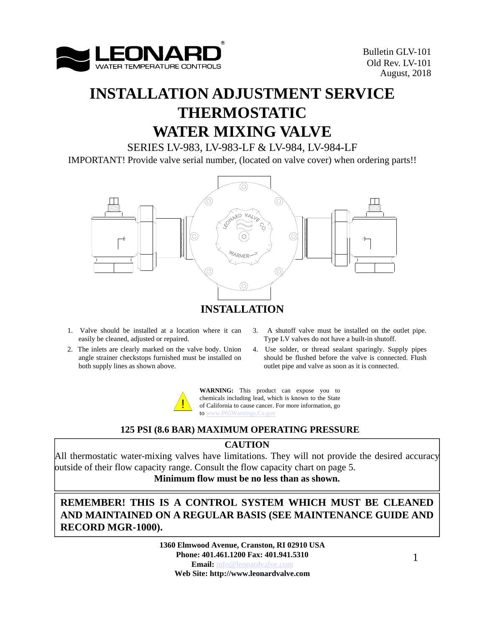

# **INSTALLATION ADJUSTMENT SERVICE THERMOSTATIC WATER MIXING VALVE**

SERIES LV-983, LV-983-LF & LV-984, LV-984-LF

IMPORTANT! Provide valve serial number, (located on valve cover) when ordering parts!!



- 1. Valve should be installed at a location where it can easily be cleaned, adjusted or repaired.
- 2. The inlets are clearly marked on the valve body. Union angle strainer checkstops furnished must be installed on both supply lines as shown above.
- 3. A shutoff valve must be installed on the outlet pipe. Type LV valves do not have a built-in shutoff.
- 4. Use solder, or thread sealant sparingly. Supply pipes should be flushed before the valve is connected. Flush outlet pipe and valve as soon as it is connected.



**WARNING:** This product can expose you to chemicals including lead, which is known to the State of California to cause cancer. For more information, go to www.P65Warnings.Ca.gov

#### **125 PSI (8.6 BAR) MAXIMUM OPERATING PRESSURE**

### **CAUTION**

All thermostatic water-mixing valves have limitations. They will not provide the desired accuracy outside of their flow capacity range. Consult the flow capacity chart on page 5. **Minimum flow must be no less than as shown.**

### **REMEMBER! THIS IS A CONTROL SYSTEM WHICH MUST BE CLEANED AND MAINTAINED ON A REGULAR BASIS (SEE MAINTENANCE GUIDE AND RECORD MGR-1000).**

**1360 Elmwood Avenue, Cranston, RI 02910 USA Phone: 401.461.1200 Fax: 401.941.5310 Email:** info@leonardvalve.com **Web Site: http://www.leonardvalve.com**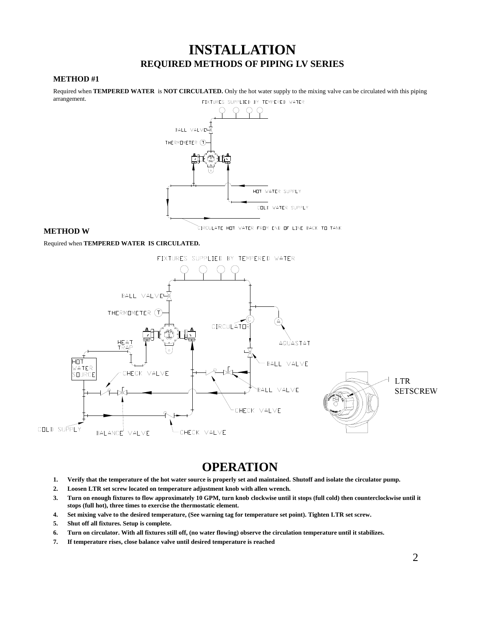## **INSTALLATION REQUIRED METHODS OF PIPING LV SERIES**

#### **METHOD #1**

Required when **TEMPERED WATER** is **NOT CIRCULATED.** Only the hot water supply to the mixing valve can be circulated with this piping arrangement.FIXTURES SUPPLIED BY TEMPERED WATER



#### **METHOD W**

CIRCULATE HOT WATER FROM END OF LINE BACK TO TANK

Required when **TEMPERED WATER IS CIRCULATED.**



## **OPERATION**

- **1. Verify that the temperature of the hot water source is properly set and maintained. Shutoff and isolate the circulator pump.**
- **2. Loosen LTR set screw located on temperature adjustment knob with allen wrench.**
- **3. Turn on enough fixtures to flow approximately 10 GPM, turn knob clockwise until it stops (full cold) then counterclockwise until it stops (full hot), three times to exercise the thermostatic element.**
- **4. Set mixing valve to the desired temperature, (See warning tag for temperature set point). Tighten LTR set screw.**
- **5. Shut off all fixtures. Setup is complete.**
- **6. Turn on circulator. With all fixtures still off, (no water flowing) observe the circulation temperature until it stabilizes.**
- **7. If temperature rises, close balance valve until desired temperature is reached**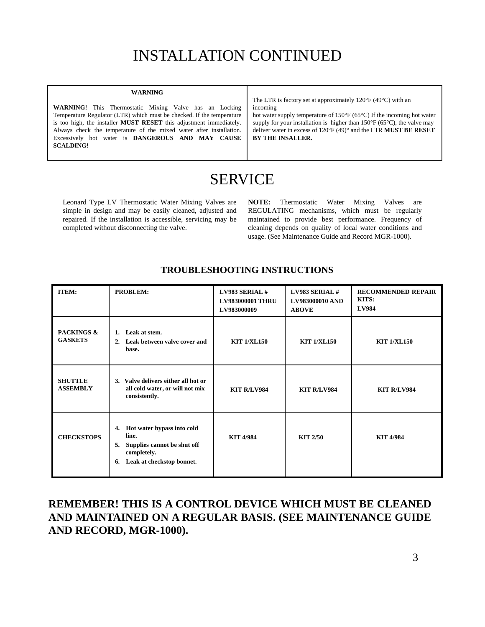# INSTALLATION CONTINUED

| <b>WARNING</b>                                                            |                                                                                             |
|---------------------------------------------------------------------------|---------------------------------------------------------------------------------------------|
| <b>WARNING!</b> This Thermostatic Mixing Valve has an Locking             | The LTR is factory set at approximately $120^{\circ}F(49^{\circ}C)$ with an                 |
| Temperature Regulator (LTR) which must be checked. If the temperature     | incoming                                                                                    |
| is too high, the installer <b>MUST RESET</b> this adjustment immediately. | hot water supply temperature of 150 $\degree$ F (65 $\degree$ C) If the incoming hot water  |
| Always check the temperature of the mixed water after installation.       | supply for your installation is higher than $150^{\circ}F(65^{\circ}C)$ , the valve may     |
| Excessively hot water is <b>DANGEROUS</b> AND MAY CAUSE                   | deliver water in excess of $120^{\circ}$ F (49) $^{\circ}$ and the LTR <b>MUST BE RESET</b> |
| <b>SCALDING!</b>                                                          | <b>BY THE INSALLER.</b>                                                                     |

# SERVICE

Leonard Type LV Thermostatic Water Mixing Valves are simple in design and may be easily cleaned, adjusted and repaired. If the installation is accessible, servicing may be completed without disconnecting the valve.

**NOTE:** Thermostatic Water Mixing Valves are REGULATING mechanisms, which must be regularly maintained to provide best performance. Frequency of cleaning depends on quality of local water conditions and usage. (See Maintenance Guide and Record MGR-1000).

| <b>ITEM:</b>                      | <b>PROBLEM:</b>                                                                                                                  | LV983 SERIAL #<br><b>LV983000001 THRU</b><br>LV983000009 | LV983 SERIAL #<br><b>LV983000010 AND</b><br><b>ABOVE</b> | <b>RECOMMENDED REPAIR</b><br>KITS:<br><b>LV984</b> |  |  |
|-----------------------------------|----------------------------------------------------------------------------------------------------------------------------------|----------------------------------------------------------|----------------------------------------------------------|----------------------------------------------------|--|--|
| PACKINGS &<br><b>GASKETS</b>      | Leak at stem.<br>1.<br>Leak between valve cover and<br>2.<br>base.                                                               | <b>KIT 1/XL150</b>                                       | <b>KIT 1/XL150</b>                                       | <b>KIT 1/XL150</b>                                 |  |  |
| <b>SHUTTLE</b><br><b>ASSEMBLY</b> | 3. Valve delivers either all hot or<br>all cold water, or will not mix<br>consistently.                                          | <b>KIT R/LV984</b>                                       | <b>KIT R/LV984</b>                                       | KIT R/LV984                                        |  |  |
| <b>CHECKSTOPS</b>                 | Hot water bypass into cold<br>4.<br>line.<br>Supplies cannot be shut off<br>5.<br>completely.<br>Leak at checkstop bonnet.<br>6. | <b>KIT 4/984</b>                                         | <b>KIT 2/50</b>                                          | <b>KIT 4/984</b>                                   |  |  |

#### **TROUBLESHOOTING INSTRUCTIONS**

## **REMEMBER! THIS IS A CONTROL DEVICE WHICH MUST BE CLEANED AND MAINTAINED ON A REGULAR BASIS. (SEE MAINTENANCE GUIDE AND RECORD, MGR-1000).**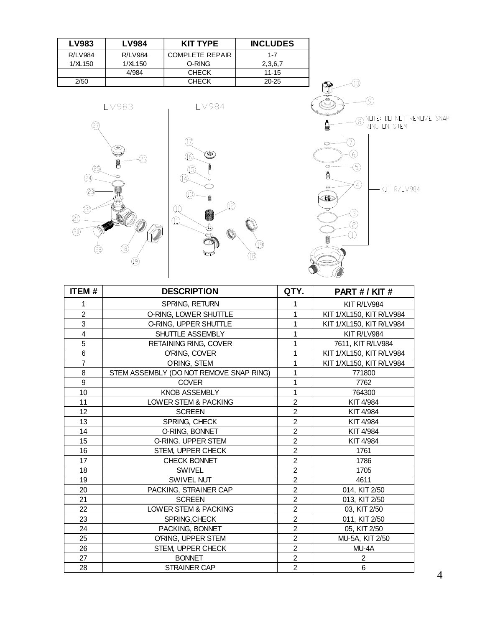

| <b>ITEM#</b>            | <b>DESCRIPTION</b>                      | QTY.                              | PART # / KIT #           |  |  |
|-------------------------|-----------------------------------------|-----------------------------------|--------------------------|--|--|
| $\mathbf{1}$            | SPRING, RETURN                          | 1                                 | KIT R/LV984              |  |  |
| $\overline{2}$          | O-RING, LOWER SHUTTLE                   | 1                                 | KIT 1/XL150, KIT R/LV984 |  |  |
| 3                       | O-RING, UPPER SHUTTLE                   | 1                                 | KIT 1/XL150, KIT R/LV984 |  |  |
| $\overline{\mathbf{4}}$ | SHUTTLE ASSEMBLY                        | 1<br>KIT R/LV984                  |                          |  |  |
| 5                       | <b>RETAINING RING, COVER</b>            | 1                                 | 7611, KIT R/LV984        |  |  |
| 6                       | O'RING, COVER                           | 1                                 | KIT 1/XL150, KIT R/LV984 |  |  |
| $\overline{7}$          | O'RING, STEM                            | 1                                 | KIT 1/XL150, KIT R/LV984 |  |  |
| 8                       | STEM ASSEMBLY (DO NOT REMOVE SNAP RING) | 1                                 | 771800                   |  |  |
| 9                       | <b>COVER</b>                            | 1                                 | 7762                     |  |  |
| 10                      | <b>KNOB ASSEMBLY</b>                    | 1                                 | 764300                   |  |  |
| 11                      | LOWER STEM & PACKING                    | $\overline{2}$                    | KIT 4/984                |  |  |
| 12                      | <b>SCREEN</b>                           | $\overline{2}$                    | KIT 4/984                |  |  |
| 13                      | SPRING, CHECK                           | $\overline{2}$                    | KIT 4/984                |  |  |
| 14                      | O-RING, BONNET                          | $\overline{2}$                    | KIT 4/984                |  |  |
| 15                      | O-RING. UPPER STEM                      | $\overline{2}$                    | KIT 4/984                |  |  |
| 16                      | STEM, UPPER CHECK                       | $\overline{c}$                    | 1761                     |  |  |
| 17                      | CHECK BONNET                            | $\overline{2}$                    | 1786                     |  |  |
| 18                      | <b>SWIVEL</b>                           | $\overline{2}$                    | 1705                     |  |  |
| 19                      | SWIVEL NUT                              | $\overline{2}$                    | 4611                     |  |  |
| 20                      | PACKING, STRAINER CAP                   | $\overline{2}$<br>014, KIT 2/50   |                          |  |  |
| 21                      | <b>SCREEN</b>                           | $\overline{2}$                    | 013, KIT 2/50            |  |  |
| 22                      | LOWER STEM & PACKING                    | $\overline{2}$                    | 03, KIT 2/50             |  |  |
| 23                      | SPRING, CHECK                           | $\overline{2}$                    | 011, KIT 2/50            |  |  |
| 24                      | $\overline{2}$<br>PACKING, BONNET       |                                   | 05, KIT 2/50             |  |  |
| 25                      | O'RING, UPPER STEM                      | $\overline{2}$<br>MU-5A, KIT 2/50 |                          |  |  |
| 26                      | STEM, UPPER CHECK                       | $\overline{2}$                    | MU-4A                    |  |  |
| 27                      | <b>BONNET</b>                           | $\overline{2}$                    | 2                        |  |  |
| 28                      | <b>STRAINER CAP</b>                     | $\overline{2}$                    | 6                        |  |  |

4